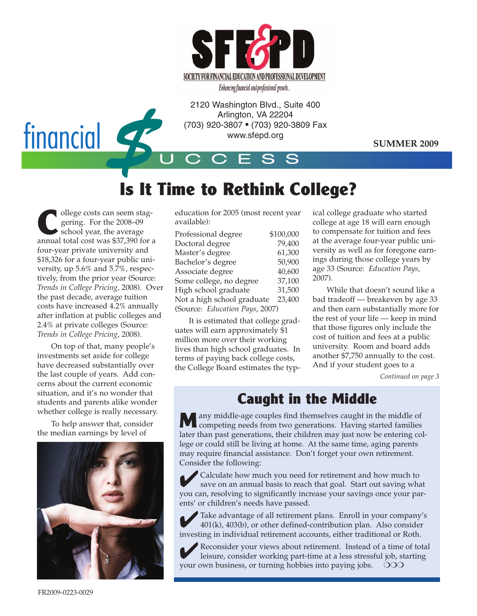

2120 Washington Blvd., Suite 400<br>
Arlington, VA 22204<br>
(703) 920-3807 • (703) 920-3809 Fa<br>
www.sfepd.org<br>
CCESS Arlington, VA 22204 (703) 920-3807 • (703) 920-3809 Fax www.sfepd.org

**SUMMER 2009**

## **Is It Time to Rethink College?**

U C C E S S

**C**ollege costs can seem stag-<br>gering. For the 2008–09<br>school year, the average gering. For the 2008–09 school year, the average annual total cost was \$37,390 for a four-year private university and \$18,326 for a four-year public university, up 5.6% and 5.7%, respectively, from the prior year (Source: *Trends in College Pricing*, 2008). Over the past decade, average tuition costs have increased 4.2% annually after inflation at public colleges and 2.4% at private colleges (Source: *Trends in College Pricing*, 2008).

On top of that, many people's investments set aside for college have decreased substantially over the last couple of years. Add concerns about the current economic situation, and it's no wonder that students and parents alike wonder whether college is really necessary.

To help answer that, consider the median earnings by level of



education for 2005 (most recent year available):

| Professional degree            | \$100,000 |
|--------------------------------|-----------|
| Doctoral degree                | 79,400    |
| Master's degree                | 61,300    |
| Bachelor's degree              | 50,900    |
| Associate degree               | 40,600    |
| Some college, no degree        | 37,100    |
| High school graduate           | 31,500    |
| Not a high school graduate     | 23,400    |
| (Source: Education Pays, 2007) |           |

It is estimated that college graduates will earn approximately \$1 million more over their working lives than high school graduates. In terms of paying back college costs, the College Board estimates the typ-

ical college graduate who started college at age 18 will earn enough to compensate for tuition and fees at the average four-year public university as well as for foregone earnings during those college years by age 33 (Source: *Education Pays*, 2007).

While that doesn't sound like a bad tradeoff — breakeven by age 33 and then earn substantially more for the rest of your life — keep in mind that those figures only include the cost of tuition and fees at a public university. Room and board adds another \$7,750 annually to the cost. And if your student goes to a

*Continued on page 3*

#### **Caught in the Middle**

**Many middle-age couples find themselves caught in the middle of** competing needs from two generations. Having started families later than past generations, their children may just now be entering college or could still be living at home. At the same time, aging parents may require financial assistance. Don't forget your own retirement. Consider the following:

✔Calculate how much you need for retirement and how much to save on an annual basis to reach that goal. Start out saving what you can, resolving to significantly increase your savings once your parents' or children's needs have passed.

✔Take advantage of all retirement plans. Enroll in your company's 401(k), 403(b), or other defined-contribution plan. Also consider investing in individual retirement accounts, either traditional or Roth.

✔Reconsider your views about retirement. Instead of a time of total leisure, consider working part-time at a less stressful job, starting your own business, or turning hobbies into paying jobs.  $OOO$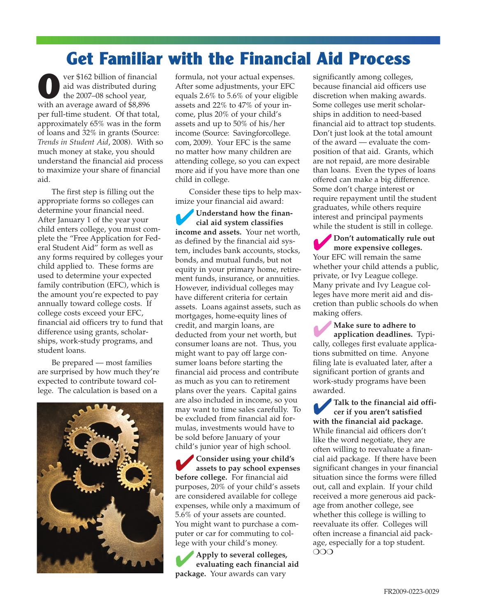### **Get Familiar with the Financial Aid Process**

ver \$162 billion of financial aid was distributed during the 2007–08 school year, with an average award of \$8,896 per full-time student. Of that total, approximately 65% was in the form of loans and 32% in grants (Source: *Trends in Student Aid*, 2008). With so much money at stake, you should understand the financial aid process to maximize your share of financial aid.

The first step is filling out the appropriate forms so colleges can determine your financial need. After January 1 of the year your child enters college, you must complete the "Free Application for Federal Student Aid" form as well as any forms required by colleges your child applied to. These forms are used to determine your expected family contribution (EFC), which is the amount you're expected to pay annually toward college costs. If college costs exceed your EFC, financial aid officers try to fund that difference using grants, scholarships, work-study programs, and student loans.

Be prepared — most families are surprised by how much they're expected to contribute toward college. The calculation is based on a



formula, not your actual expenses. After some adjustments, your EFC equals 2.6% to 5.6% of your eligible assets and 22% to 47% of your income, plus 20% of your child's assets and up to 50% of his/her income (Source: Savingforcollege. com, 2009). Your EFC is the same no matter how many children are attending college, so you can expect more aid if you have more than one child in college.

Consider these tips to help maximize your financial aid award:

✔**Understand how the financial aid system classifies income and assets.** Your net worth, as defined by the financial aid system, includes bank accounts, stocks, bonds, and mutual funds, but not equity in your primary home, retirement funds, insurance, or annuities. However, individual colleges may have different criteria for certain assets. Loans against assets, such as mortgages, home-equity lines of credit, and margin loans, are deducted from your net worth, but consumer loans are not. Thus, you might want to pay off large consumer loans before starting the financial aid process and contribute as much as you can to retirement plans over the years. Capital gains are also included in income, so you may want to time sales carefully. To be excluded from financial aid formulas, investments would have to be sold before January of your child's junior year of high school.

✔**Consider using your child's assets to pay school expenses before college.** For financial aid purposes, 20% of your child's assets are considered available for college expenses, while only a maximum of 5.6% of your assets are counted. You might want to purchase a computer or car for commuting to college with your child's money.

✔**Apply to several colleges, evaluating each financial aid package.** Your awards can vary

significantly among colleges, because financial aid officers use discretion when making awards. Some colleges use merit scholarships in addition to need-based financial aid to attract top students. Don't just look at the total amount of the award — evaluate the composition of that aid. Grants, which are not repaid, are more desirable than loans. Even the types of loans offered can make a big difference. Some don't charge interest or require repayment until the student graduates, while others require interest and principal payments while the student is still in college.

✔**Don't automatically rule out more expensive colleges.** Your EFC will remain the same whether your child attends a public, private, or Ivy League college. Many private and Ivy League colleges have more merit aid and discretion than public schools do when making offers.

✔ **Make sure to adhere to application deadlines.** Typically, colleges first evaluate applications submitted on time. Anyone filing late is evaluated later, after a significant portion of grants and work-study programs have been awarded.

✔**Talk to the financial aid officer if you aren't satisfied with the financial aid package.** While financial aid officers don't like the word negotiate, they are often willing to reevaluate a financial aid package. If there have been significant changes in your financial situation since the forms were filled out, call and explain. If your child received a more generous aid package from another college, see whether this college is willing to reevaluate its offer. Colleges will often increase a financial aid package, especially for a top student. ❍❍❍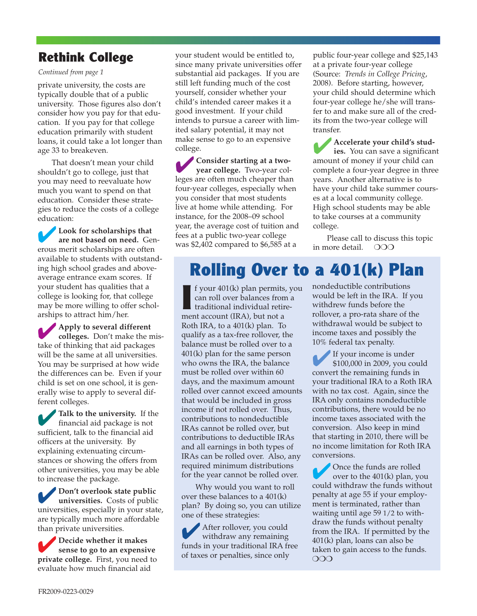#### **Rethink College**

*Continued from page 1*

private university, the costs are typically double that of a public university. Those figures also don't consider how you pay for that education. If you pay for that college education primarily with student loans, it could take a lot longer than age 33 to breakeven.

That doesn't mean your child shouldn't go to college, just that you may need to reevaluate how much you want to spend on that education. Consider these strategies to reduce the costs of a college education:

✔**Look for scholarships that are not based on need.** Generous merit scholarships are often available to students with outstanding high school grades and aboveaverage entrance exam scores. If your student has qualities that a college is looking for, that college may be more willing to offer scholarships to attract him/her.

✔**Apply to several different colleges.** Don't make the mistake of thinking that aid packages will be the same at all universities. You may be surprised at how wide the differences can be. Even if your child is set on one school, it is generally wise to apply to several different colleges.

✔**Talk to the university.** If the financial aid package is not sufficient, talk to the financial aid officers at the university. By explaining extenuating circumstances or showing the offers from other universities, you may be able to increase the package.

✔**Don't overlook state public universities.** Costs of public universities, especially in your state, are typically much more affordable than private universities.

✔**Decide whether it makes sense to go to an expensive private college.** First, you need to evaluate how much financial aid

your student would be entitled to, since many private universities offer substantial aid packages. If you are still left funding much of the cost yourself, consider whether your child's intended career makes it a good investment. If your child intends to pursue a career with limited salary potential, it may not make sense to go to an expensive college.

✔**Consider starting at a twoyear college.** Two-year colleges are often much cheaper than four-year colleges, especially when you consider that most students live at home while attending. For instance, for the 2008–09 school year, the average cost of tuition and fees at a public two-year college was \$2,402 compared to \$6,585 at a

public four-year college and \$25,143 at a private four-year college (Source: *Trends in College Pricing*, 2008). Before starting, however, your child should determine which four-year college he/she will transfer to and make sure all of the credits from the two-year college will transfer.

✔**Accelerate your child's studies.** You can save a significant amount of money if your child can complete a four-year degree in three years. Another alternative is to have your child take summer courses at a local community college. High school students may be able to take courses at a community college.

Please call to discuss this topic in more detail. ❍❍❍

# **Rolling Over to a 401(k) Plan**

**I** f your 401(k) plan permits, you can roll over balances from a traditional individual retirement account (IRA), but not a Roth IRA, to a 401(k) plan. To qualify as a tax-free rollover, the balance must be rolled over to a 401(k) plan for the same person who owns the IRA, the balance must be rolled over within 60 days, and the maximum amount rolled over cannot exceed amounts that would be included in gross income if not rolled over. Thus, contributions to nondeductible IRAs cannot be rolled over, but contributions to deductible IRAs and all earnings in both types of IRAs can be rolled over. Also, any required minimum distributions for the year cannot be rolled over.

Why would you want to roll over these balances to a 401(k) plan? By doing so, you can utilize one of these strategies:

After rollover, you could withdraw any remaining funds in your traditional IRA free of taxes or penalties, since only

nondeductible contributions would be left in the IRA. If you withdrew funds before the rollover, a pro-rata share of the withdrawal would be subject to income taxes and possibly the 10% federal tax penalty.

✔If your income is under \$100,000 in 2009, you could convert the remaining funds in your traditional IRA to a Roth IRA with no tax cost. Again, since the IRA only contains nondeductible contributions, there would be no income taxes associated with the conversion. Also keep in mind that starting in 2010, there will be no income limitation for Roth IRA conversions.

Once the funds are rolled<br>
over to the 401(k) plan, you could withdraw the funds without penalty at age 55 if your employment is terminated, rather than waiting until age 59 1/2 to withdraw the funds without penalty from the IRA. If permitted by the 401(k) plan, loans can also be taken to gain access to the funds. ❍❍❍